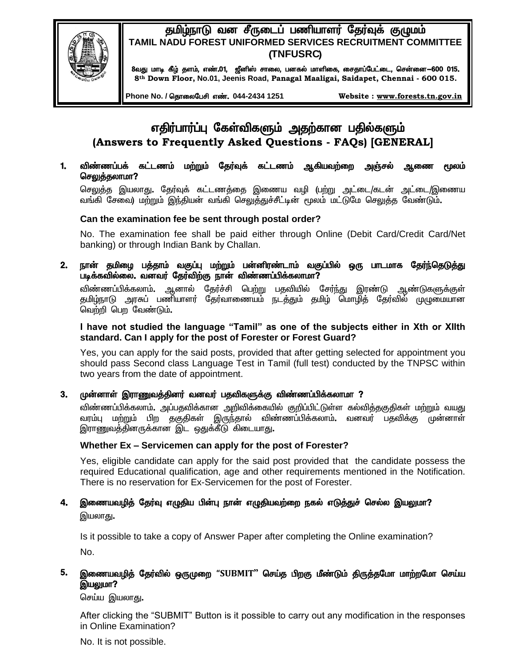# தமிழ்நாடு வன சீருடைப் பணியாளர் தேர்வுக் குழுமம் TAMIL NADU FOREST UNIFORMED SERVICES RECRUITMENT COMMITTEE (TNFUSRC)



8வது மாடி கீழ் தளம், எண்.01, ஜீனிஸ் சாலை, பனகல் மாளிகை, சைதாப்பேட்டை, சென்னை—600 015. 8th Down Floor, No.01, Jeenis Road, Panagal Maaligai, Saidapet, Chennai - 600 015.

Phone No. / தொலைபேசி எண். 044-2434 1251

Website: www.forests.tn.gov.in

# எதிர்பார்ப்பு கேள்விகளும் அதற்கான பதில்களும் (Answers to Frequently Asked Questions - FAQs) [GENERAL]

 $1.$ விண்ணப்பக் கட்டணம் மற்றும் தேர்வுக் கட்டணம் ஆகியவற்றை அஞ்சல் ஆணை மூலம் செலுத்தலாமா?

செலுத்த இயலாது. தேர்வுக் கட்டணத்தை இணைய வழி (பற்று அட்டை/கடன் அட்டை/இணைய வங்கி சேவை) மற்றும் இந்தியன் வங்கி செலுத்துச்சீட்டின் மூலம் மட்டுமே செலுத்த வேண்டும்.

# Can the examination fee be sent through postal order?

No. The examination fee shall be paid either through Online (Debit Card/Credit Card/Net banking) or through Indian Bank by Challan.

 $2.$ நான் தமிழை பத்தாம் வகுப்பு மற்றும் பன்னிரண்டாம் வகுப்பில் ஒரு பாடமாக தேர்ந்தெடுத்து படிக்கவில்லை. வனவர் தேர்விற்கு நான் விண்ணப்பிக்கலாமா?

விண்ணப்பிக்கலாம். ஆனால் தேர்ச்சி பெற்று பதவியில் சேர்ந்து இரண்டு ஆண்டுகளுக்குள் தமிழ்நாடு அரசுப் பணியாளர் தேர்வாணையம் நடத்தும் தமிழ் மொழித் தேர்வில் முழுமையான வெற்றி பெற வேண்டும்.

## I have not studied the language "Tamil" as one of the subjects either in Xth or XIIth standard. Can I apply for the post of Forester or Forest Guard?

Yes, you can apply for the said posts, provided that after getting selected for appointment you should pass Second class Language Test in Tamil (full test) conducted by the TNPSC within two years from the date of appointment.

முன்னாள் இராணுவத்தினர் வனவர் பதவிகளுக்கு விண்ணப்பிக்கலாமா ? 3.

விண்ணப்பிக்கலாம். அப்பதவிக்கான அறிவிக்கையில் குறிப்பிட்டுள்ள கல்வித்தகுதிகள் மற்றும் வயது வரம்பு மற்றும் பிற தகுதிகள் இருந்தால் விண்ணப்பிக்கலாம். வனவர் பதவிக்கு முன்னாள் இராணுவத்தினருக்கான இட ஒதுக்கீடு கிடையாது.

## Whether Ex - Servicemen can apply for the post of Forester?

Yes, eligible candidate can apply for the said post provided that the candidate possess the required Educational qualification, age and other requirements mentioned in the Notification. There is no reservation for Ex-Servicemen for the post of Forester.

# 4. இணையவழித் தேர்வு எழுதிய பின்பு நான் எழுதியவற்றை நகல் எடுத்துச் செல்ல இயலுமா? இயலாது.

Is it possible to take a copy of Answer Paper after completing the Online examination? No.

#### 5. இணையவழித் தேர்வில் ஒருமுறை "SUBMIT" செய்த பிறகு மீண்டும் திருத்தமோ மாற்றமோ செய்ய இயலுமா?

செய்ய இயலாது.

After clicking the "SUBMIT" Button is it possible to carry out any modification in the responses in Online Examination?

No. It is not possible.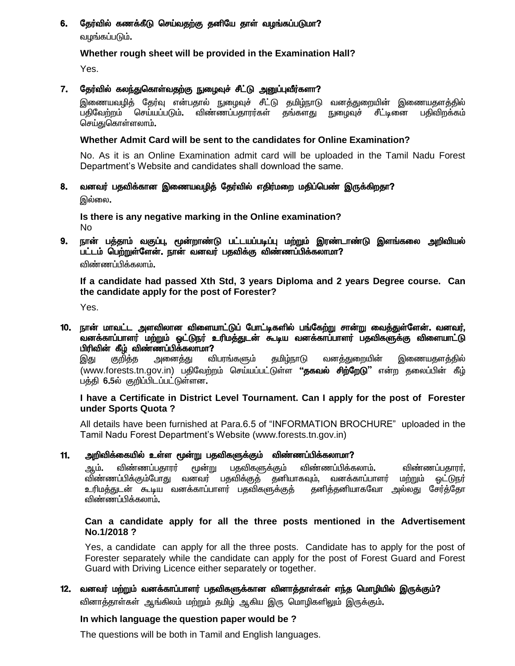#### தேர்வில் கணக்கீடு செய்வதற்கு தனியே தாள் வழங்கப்படுமா? 6.

வழங்கப்படும்.

# Whether rough sheet will be provided in the Examination Hall?

Yes.

#### 7. தேர்வில் கலந்துகொள்வதற்கு நுழைவுச் சீட்டு அனுப்புவீர்களா?

இணையவழித் தேர்வு என்பதால் நுழைவுச் சீட்டு தமிழ்நாடு வனத்துறையின் இணையதளத்தில் .<br>பகிவேற்றம் செய்யப்படும். விண்ணப்பகாரர்கள் கங்களகு நுறைவச் சீட்டினை பகிவிறக்கம் செய்துகொள்ளலாம்.

# Whether Admit Card will be sent to the candidates for Online Examination?

No. As it is an Online Examination admit card will be uploaded in the Tamil Nadu Forest Department's Website and candidates shall download the same.

#### 8. வனவர் பதவிக்கான இணையவழித் தேர்வில் எதிர்மறை மதிப்பெண் இருக்கிறதா? இல்லை.

Is there is any negative marking in the Online examination? **No** 

#### 9. நான் பத்தாம் வகுப்பு, மூன்றாண்டு பட்டயப்படிப்பு மற்றும் இரண்டாண்டு இளங்கலை அறிவியல் பட்டம் பெற்றுள்ளேன். நான் வனவர் பதவிக்கு விண்ணப்பிக்கலாமா?

விண்ணப்பிக்கலாம்**.** 

If a candidate had passed Xth Std, 3 years Diploma and 2 years Degree course. Can the candidate apply for the post of Forester?

Yes.

### 10. நான் மாவட்ட அளவிலான விளையாட்டுப் போட்டிகளில் பங்கேற்று சான்று வைத்துள்ளேன். வனவர், .<br>வனக்காப்பாளர் மற்றும் ஒட்டுநர் உரிமத்துடன் கூடிய வனக்காப்பாளர் பதவிகளுக்கு விளையாட்டு பிரிவின் கீழ் விண்ணப்பிக்கலாமா?

விபரங்களும் தமிழ்நாடு வனக்குறையின் இது குறித்த அனை<u>க்க</u>ு இணையதளத்தில் (www.forests.tn.gov.in) பதிவேற்றம் செய்யப்பட்டுள்ள **"தகவல் சிற்றேடு**" என்ற தலைப்பின் கீழ் பத்தி 6.5ல் குறிப்பிடப்பட்டுள்ளன.

## I have a Certificate in District Level Tournament. Can I apply for the post of Forester under Sports Quota?

All details have been furnished at Para.6.5 of "INFORMATION BROCHURE" uploaded in the Tamil Nadu Forest Department's Website (www.forests.tn.gov.in)

#### அறிவிக்கையில் உள்ள மூன்று பதவிகளுக்கும் விண்ணப்பிக்கலாமா?  $11.$

விண்ணப்பதாரர் மூன்று பதவிகளுக்கும் விண்ணப்பிக்கலாம்**.** ஆம். விண்ணப்பதாரர். விண்ணப்பிக்கும்போது வனவர் பதவிக்குத் தனியாகவும். வனக்காப்பாளர் மற்றும் ைட்டுநர் உரிமத்துடன் கூடிய வனக்காப்பாளர் பதவிகளுக்குத் தனித்தனியாகவோ அல்லது சேர்த்தோ விண்ணப்பிக்கலாம்.

## Can a candidate apply for all the three posts mentioned in the Advertisement No.1/2018?

Yes, a candidate can apply for all the three posts. Candidate has to apply for the post of Forester separately while the candidate can apply for the post of Forest Guard and Forest Guard with Driving Licence either separately or together.

# 12. வனவர் மற்றும் வனக்காப்பாளர் பதவிகளுக்கான வினாத்தாள்கள் எந்த மொழியில் இருக்கும்? வினாத்தாள்கள் ஆங்கிலம் மற்றும் தமிழ் ஆகிய இரு மொழிகளிலும் இருக்கும்.

# In which language the question paper would be?

The questions will be both in Tamil and English languages.